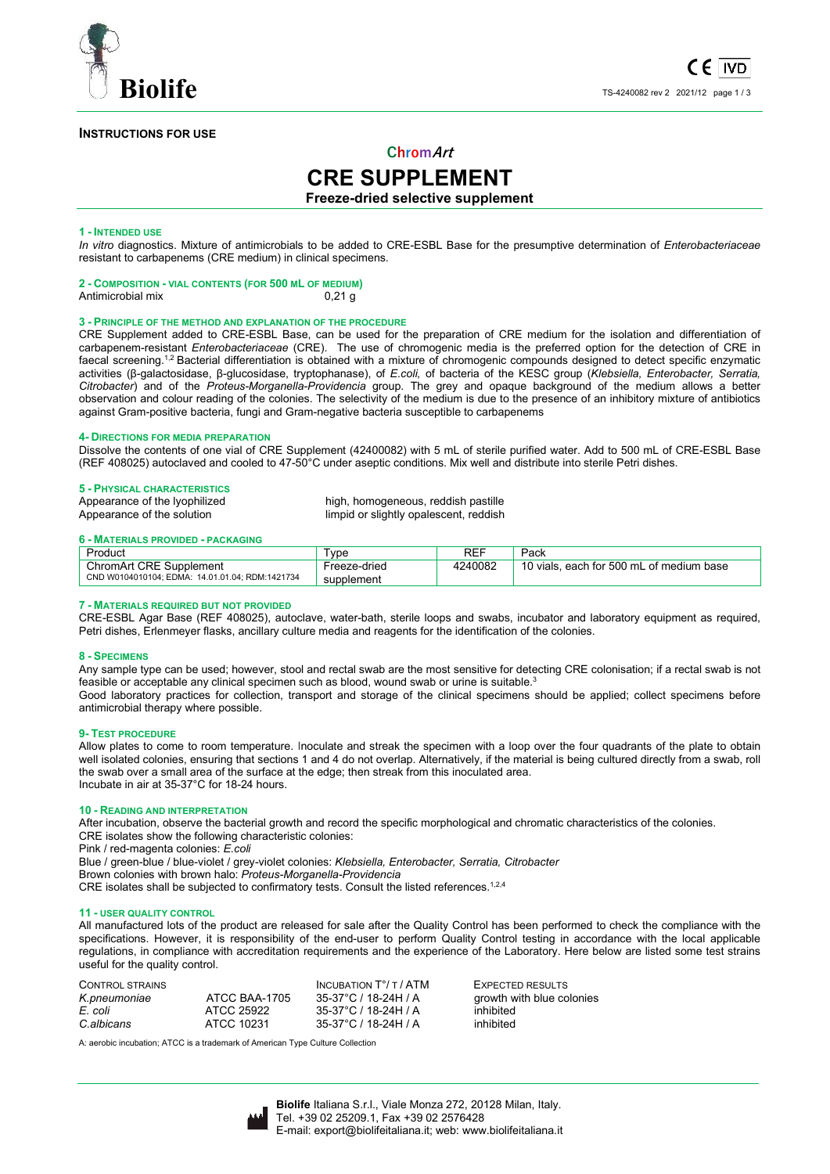

## **INSTRUCTIONS FOR USE**

## **ChromArt**

# **CRE SUPPLEMENT**

## **Freeze-dried selective supplement**

## **1 - INTENDED USE**

*In vitro* diagnostics. Mixture of antimicrobials to be added to CRE-ESBL Base for the presumptive determination of *Enterobacteriaceae*  resistant to carbapenems (CRE medium) in clinical specimens.

#### **2 - COMPOSITION - VIAL CONTENTS (FOR 500 ML OF MEDIUM)**  Antimicrobial mix 0.21 g

## **3 - PRINCIPLE OF THE METHOD AND EXPLANATION OF THE PROCEDURE**

CRE Supplement added to CRE-ESBL Base, can be used for the preparation of CRE medium for the isolation and differentiation of carbapenem-resistant *Enterobacteriaceae* (CRE). The use of chromogenic media is the preferred option for the detection of CRE in faecal screening.<sup>1,2</sup> Bacterial differentiation is obtained with a mixture of chromogenic compounds designed to detect specific enzymatic activities (β-galactosidase, β-glucosidase, tryptophanase), of *E.coli,* of bacteria of the KESC group (*Klebsiella, Enterobacter, Serratia, Citrobacter*) and of the *Proteus-Morganella-Providencia* group. The grey and opaque background of the medium allows a better observation and colour reading of the colonies. The selectivity of the medium is due to the presence of an inhibitory mixture of antibiotics against Gram-positive bacteria, fungi and Gram-negative bacteria susceptible to carbapenems

## **4- DIRECTIONS FOR MEDIA PREPARATION**

Dissolve the contents of one vial of CRE Supplement (42400082) with 5 mL of sterile purified water. Add to 500 mL of CRE-ESBL Base (REF 408025) autoclaved and cooled to 47-50°C under aseptic conditions. Mix well and distribute into sterile Petri dishes.

## **5 - PHYSICAL CHARACTERISTICS**

| Appearance of the lyophilized | high, homogeneous, reddish pastille    |
|-------------------------------|----------------------------------------|
| Appearance of the solution    | limpid or slightly opalescent, reddish |

## **6 - MATERIALS PROVIDED - PACKAGING**

| Product                                         | vpe          | <b>REF</b> | Pack                                           |
|-------------------------------------------------|--------------|------------|------------------------------------------------|
| <b>ChromArt CRE Supplement</b>                  | Freeze-dried | 4240082    | 10 vials.<br>১. each for 500 mL of medium base |
| CND W0104010104: EDMA: 14.01.01.04: RDM:1421734 | supplement   |            |                                                |

## **7 - MATERIALS REQUIRED BUT NOT PROVIDED**

CRE-ESBL Agar Base (REF 408025), autoclave, water-bath, sterile loops and swabs, incubator and laboratory equipment as required, Petri dishes, Erlenmeyer flasks, ancillary culture media and reagents for the identification of the colonies.

## **8 - SPECIMENS**

Any sample type can be used; however, stool and rectal swab are the most sensitive for detecting CRE colonisation; if a rectal swab is not feasible or acceptable any clinical specimen such as blood, wound swab or urine is suitable.<sup>3</sup>

Good laboratory practices for collection, transport and storage of the clinical specimens should be applied; collect specimens before antimicrobial therapy where possible.

## **9- TEST PROCEDURE**

Allow plates to come to room temperature. Inoculate and streak the specimen with a loop over the four quadrants of the plate to obtain well isolated colonies, ensuring that sections 1 and 4 do not overlap. Alternatively, if the material is being cultured directly from a swab, roll the swab over a small area of the surface at the edge; then streak from this inoculated area. Incubate in air at 35-37°C for 18-24 hours.

## **10 - READING AND INTERPRETATION**

After incubation, observe the bacterial growth and record the specific morphological and chromatic characteristics of the colonies. CRE isolates show the following characteristic colonies:

Pink / red-magenta colonies: *E.coli*

Blue / green-blue / blue-violet / grey-violet colonies: *Klebsiella, Enterobacter, Serratia, Citrobacter*

Brown colonies with brown halo: *Proteus-Morganella-Providencia*

CRE isolates shall be subjected to confirmatory tests. Consult the listed references.<sup>1,2,4</sup>

## **11 - USER QUALITY CONTROL**

All manufactured lots of the product are released for sale after the Quality Control has been performed to check the compliance with the specifications. However, it is responsibility of the end-user to perform Quality Control testing in accordance with the local applicable regulations, in compliance with accreditation requirements and the experience of the Laboratory. Here below are listed some test strains useful for the quality control.

|               | <b>INCUBATION <math>T^{\circ}/T / ATM</math></b> | <b>EXPECTE</b> |
|---------------|--------------------------------------------------|----------------|
| ATCC BAA-1705 | 35-37°C / 18-24H / A                             | growth w       |
| ATCC 25922    | 35-37°C / 18-24H / A                             | inhibited      |
| ATCC 10231    | 35-37°C / 18-24H / A                             | inhibited      |
|               |                                                  |                |

EXPECTED RESULTS growth with blue colonies<br>
inhibited

A: aerobic incubation; ATCC is a trademark of American Type Culture Collection

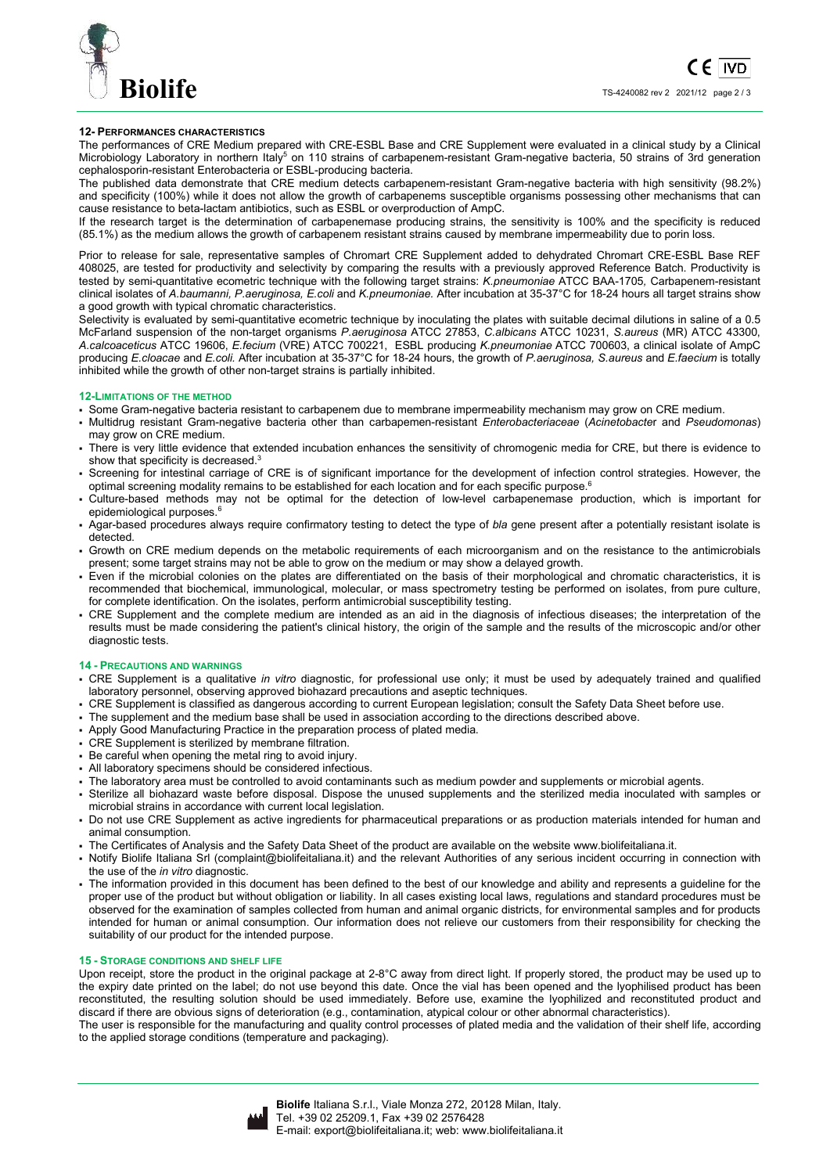

## **12- PERFORMANCES CHARACTERISTICS**

The performances of CRE Medium prepared with CRE-ESBL Base and CRE Supplement were evaluated in a clinical study by a Clinical Microbiology Laboratory in northern Italy<sup>5</sup> on 110 strains of carbapenem-resistant Gram-negative bacteria, 50 strains of 3rd generation cephalosporin-resistant Enterobacteria or ESBL-producing bacteria.

The published data demonstrate that CRE medium detects carbapenem-resistant Gram-negative bacteria with high sensitivity (98.2%) and specificity (100%) while it does not allow the growth of carbapenems susceptible organisms possessing other mechanisms that can cause resistance to beta-lactam antibiotics, such as ESBL or overproduction of AmpC.

If the research target is the determination of carbapenemase producing strains, the sensitivity is 100% and the specificity is reduced (85.1%) as the medium allows the growth of carbapenem resistant strains caused by membrane impermeability due to porin loss.

Prior to release for sale, representative samples of Chromart CRE Supplement added to dehydrated Chromart CRE-ESBL Base REF 408025, are tested for productivity and selectivity by comparing the results with a previously approved Reference Batch. Productivity is tested by semi-quantitative ecometric technique with the following target strains: *K.pneumoniae* ATCC BAA-1705*,* Carbapenem-resistant clinical isolates of *A.baumanni, P.aeruginosa, E.coli* and *K.pneumoniae.* After incubation at 35-37°C for 18-24 hours all target strains show a good growth with typical chromatic characteristics.

Selectivity is evaluated by semi-quantitative ecometric technique by inoculating the plates with suitable decimal dilutions in saline of a 0.5 McFarland suspension of the non-target organisms *P.aeruginosa* ATCC 27853, *C.albicans* ATCC 10231, *S.aureus* (MR) ATCC 43300, *A.calcoaceticus* ATCC 19606, *E.fecium* (VRE) ATCC 700221, ESBL producing *K.pneumoniae* ATCC 700603, a clinical isolate of AmpC producing *E.cloacae* and *E.coli.* After incubation at 35-37°C for 18-24 hours, the growth of *P.aeruginosa, S.aureus* and *E.faecium* is totally inhibited while the growth of other non-target strains is partially inhibited.

## **12-LIMITATIONS OF THE METHOD**

- Some Gram-negative bacteria resistant to carbapenem due to membrane impermeability mechanism may grow on CRE medium.
- Multidrug resistant Gram-negative bacteria other than carbapemen-resistant *Enterobacteriaceae* (*Acinetobacte*r and *Pseudomonas*) may grow on CRE medium.
- There is very little evidence that extended incubation enhances the sensitivity of chromogenic media for CRE, but there is evidence to show that specificity is decreased.<sup>3</sup>
- Screening for intestinal carriage of CRE is of significant importance for the development of infection control strategies. However, the optimal screening modality remains to be established for each location and for each specific purpose.<sup>6</sup>
- Culture-based methods may not be optimal for the detection of low-level carbapenemase production, which is important for epidemiological purposes.<sup>6</sup>
- Agar-based procedures always require confirmatory testing to detect the type of *bla* gene present after a potentially resistant isolate is detected.
- Growth on CRE medium depends on the metabolic requirements of each microorganism and on the resistance to the antimicrobials present; some target strains may not be able to grow on the medium or may show a delayed growth.
- Even if the microbial colonies on the plates are differentiated on the basis of their morphological and chromatic characteristics, it is recommended that biochemical, immunological, molecular, or mass spectrometry testing be performed on isolates, from pure culture, for complete identification. On the isolates, perform antimicrobial susceptibility testing.
- CRE Supplement and the complete medium are intended as an aid in the diagnosis of infectious diseases; the interpretation of the results must be made considering the patient's clinical history, the origin of the sample and the results of the microscopic and/or other diagnostic tests.

## **14 - PRECAUTIONS AND WARNINGS**

- CRE Supplement is a qualitative *in vitro* diagnostic, for professional use only; it must be used by adequately trained and qualified laboratory personnel, observing approved biohazard precautions and aseptic techniques.
- CRE Supplement is classified as dangerous according to current European legislation; consult the Safety Data Sheet before use.
- The supplement and the medium base shall be used in association according to the directions described above.
- Apply Good Manufacturing Practice in the preparation process of plated media.
- CRE Supplement is sterilized by membrane filtration.
- Be careful when opening the metal ring to avoid injury.
- All laboratory specimens should be considered infectious.
- The laboratory area must be controlled to avoid contaminants such as medium powder and supplements or microbial agents.
- Sterilize all biohazard waste before disposal. Dispose the unused supplements and the sterilized media inoculated with samples or microbial strains in accordance with current local legislation.
- Do not use CRE Supplement as active ingredients for pharmaceutical preparations or as production materials intended for human and animal consumption.
- The Certificates of Analysis and the Safety Data Sheet of the product are available on the website www.biolifeitaliana.it.
- Notify Biolife Italiana Srl (complaint@biolifeitaliana.it) and the relevant Authorities of any serious incident occurring in connection with the use of the *in vitro* diagnostic.
- The information provided in this document has been defined to the best of our knowledge and ability and represents a guideline for the proper use of the product but without obligation or liability. In all cases existing local laws, regulations and standard procedures must be observed for the examination of samples collected from human and animal organic districts, for environmental samples and for products intended for human or animal consumption. Our information does not relieve our customers from their responsibility for checking the suitability of our product for the intended purpose.

## **15 - STORAGE CONDITIONS AND SHELF LIFE**

Upon receipt, store the product in the original package at 2-8°C away from direct light. If properly stored, the product may be used up to the expiry date printed on the label; do not use beyond this date. Once the vial has been opened and the lyophilised product has been reconstituted, the resulting solution should be used immediately. Before use, examine the lyophilized and reconstituted product and discard if there are obvious signs of deterioration (e.g., contamination, atypical colour or other abnormal characteristics).

The user is responsible for the manufacturing and quality control processes of plated media and the validation of their shelf life, according to the applied storage conditions (temperature and packaging).